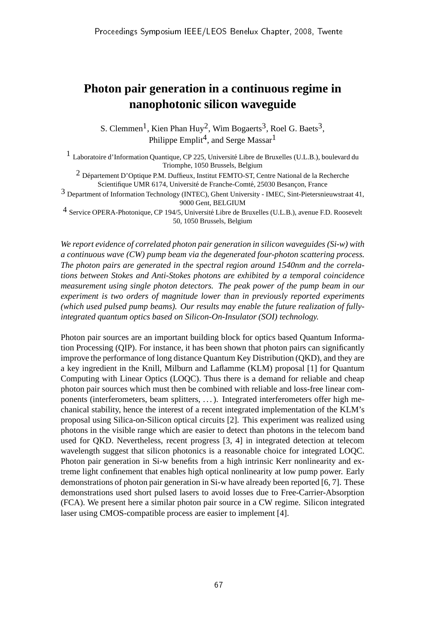## **Photon pair generation in a continuous regime in nanophotonic silicon waveguide**

S. Clemmen<sup>1</sup>, Kien Phan Huy<sup>2</sup>, Wim Bogaerts<sup>3</sup>, Roel G. Baets<sup>3</sup>, Philippe Emplit<sup>4</sup>, and Serge Massar<sup>1</sup>

<sup>1</sup> Laboratoire d'Information Quantique, CP 225, Université Libre de Bruxelles (U.L.B.), boulevard du Triomphe, 1050 Brussels, Belgium

<sup>2</sup> Département D'Optique P.M. Duffieux, Institut FEMTO-ST, Centre National de la Recherche Scientifique UMR 6174, Université de Franche-Comté, 25030 Besançon, France

3 Department of Information Technology (INTEC), Ghent University - IMEC, Sint-Pietersnieuwstraat 41, 9000 Gent, BELGIUM

<sup>4</sup> Service OPERA-Photonique, CP 194/5, Université Libre de Bruxelles (U.L.B.), avenue F.D. Roosevelt 50, 1050 Brussels, Belgium

*We report evidence of correlated photon pair generation in silicon waveguides (Si-w) with a continuous wave (CW) pump beam via the degenerated four-photon scattering process. The photon pairs are generated in the spectral region around 1540nm and the correlations between Stokes and Anti-Stokes photons are exhibited by a temporal coincidence measurement using single photon detectors. The peak power of the pump beam in our experiment is two orders of magnitude lower than in previously reported experiments (which used pulsed pump beams). Our results may enable the future realization of fullyintegrated quantum optics based on Silicon-On-Insulator (SOI) technology.*

Photon pair sources are an important building block for optics based Quantum Information Processing (QIP). For instance, it has been shown that photon pairs can significantly improve the performance of long distance Quantum Key Distribution (QKD), and they are a key ingredient in the Knill, Milburn and Laflamme (KLM) proposal [1] for Quantum Computing with Linear Optics (LOQC). Thus there is a demand for reliable and cheap photon pair sources which must then be combined with reliable and loss-free linear components (interferometers, beam splitters, . . . ). Integrated interferometers offer high mechanical stability, hence the interest of a recent integrated implementation of the KLM's proposal using Silica-on-Silicon optical circuits [2]. This experiment was realized using photons in the visible range which are easier to detect than photons in the telecom band used for QKD. Nevertheless, recent progress [3, 4] in integrated detection at telecom wavelength suggest that silicon photonics is a reasonable choice for integrated LOQC. Photon pair generation in Si-w benefits from a high intrinsic Kerr nonlinearity and extreme light confinement that enables high optical nonlinearity at low pump power. Early demonstrations of photon pair generation in Si-w have already been reported [6, 7]. These demonstrations used short pulsed lasers to avoid losses due to Free-Carrier-Absorption (FCA). We present here a similar photon pair source in a CW regime. Silicon integrated laser using CMOS-compatible process are easier to implement [4].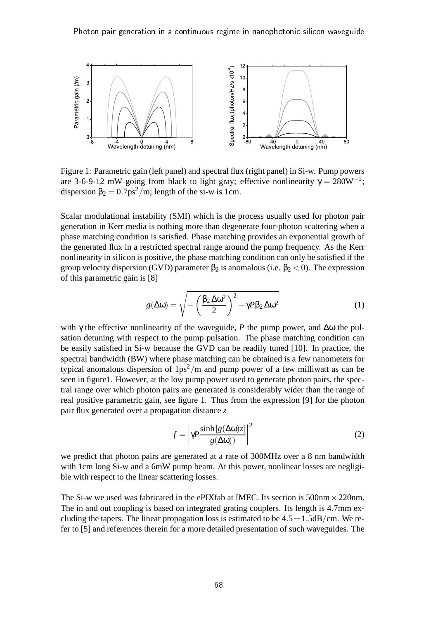

Figure 1: Parametric gain (left panel) and spectral flux (right panel) in Si-w. Pump powers are 3-6-9-12 mW going from black to light gray; effective nonlinearity  $\gamma = 280W^{-1}$ ; dispersion  $\beta_2 = 0.7 \text{ps}^2/\text{m}$ ; length of the si-w is 1cm.

Scalar modulational instability (SMI) which is the process usually used for photon pair generation in Kerr media is nothing more than degenerate four-photon scattering when a phase matching condition is satisfied. Phase matching provides an exponential growth of the generated flux in a restricted spectral range around the pump frequency. As the Kerr nonlinearity in silicon is positive, the phase matching condition can only be satisfied if the group velocity dispersion (GVD) parameter  $\beta_2$  is anomalous (i.e.  $\beta_2 < 0$ ). The expression of this parametric gain is [8]

$$
g(\Delta \omega) = \sqrt{-\left(\frac{\beta_2 \Delta \omega^2}{2}\right)^2 - \gamma P \beta_2 \Delta \omega^2}
$$
 (1)

with  $\gamma$  the effective nonlinearity of the waveguide, *P* the pump power, and  $\Delta\omega$  the pulsation detuning with respect to the pump pulsation. The phase matching condition can be easily satisfied in Si-w because the GVD can be readily tuned [10]. In practice, the spectral bandwidth (BW) where phase matching can be obtained is a few nanometers for typical anomalous dispersion of  $1ps^2/m$  and pump power of a few milliwatt as can be seen in figure1. However, at the low pump power used to generate photon pairs, the spectral range over which photon pairs are generated is considerably wider than the range of real positive parametric gain, see figure 1. Thus from the expression [9] for the photon pair flux generated over a propagation distance *z*

$$
f = \left| \gamma P \frac{\sinh[g(\Delta \omega)z]}{g(\Delta \omega)} \right|^2 \tag{2}
$$

we predict that photon pairs are generated at a rate of 300MHz over a 8 nm bandwidth with 1cm long Si-w and a 6mW pump beam. At this power, nonlinear losses are negligible with respect to the linear scattering losses.

The Si-w we used was fabricated in the ePIXfab at IMEC. Its section is 500nm  $\times$  220nm. The in and out coupling is based on integrated grating couplers. Its length is 4.7mm excluding the tapers. The linear propagation loss is estimated to be  $4.5 \pm 1.5$ dB/cm. We refer to [5] and references therein for a more detailed presentation of such waveguides. The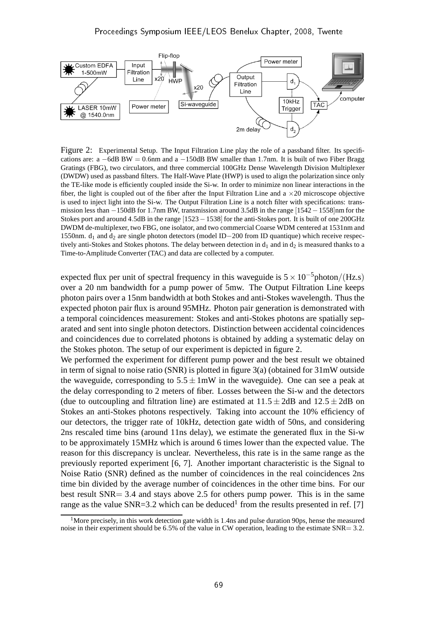

Figure 2: Experimental Setup. The Input Filtration Line play the role of a passband filter. Its specifications are:  $a - 6dB BW = 0.6$  mm and  $a - 150dB BW$  smaller than 1.7nm. It is built of two Fiber Bragg Gratings (FBG), two circulators, and three commercial 100GHz Dense Wavelength Division Multiplexer (DWDW) used as passband filters. The Half-Wave Plate (HWP) is used to align the polarization since only the TE-like mode is efficiently coupled inside the Si-w. In order to minimize non linear interactions in the fiber, the light is coupled out of the fiber after the Input Filtration Line and  $a \times 20$  microscope objective is used to inject light into the Si-w. The Output Filtration Line is a notch filter with specifications: transmission less than −150dB for 1.7nm BW, transmission around 3.5dB in the range [1542−1558]nm for the Stokes port and around 4.5dB in the range [1523−1538] for the anti-Stokes port. It is built of one 200GHz DWDM de-multiplexer, two FBG, one isolator, and two commercial Coarse WDM centered at 1531nm and 1550nm. d<sub>1</sub> and d<sub>2</sub> are single photon detectors (model ID–200 from ID quantique) which receive respectively anti-Stokes and Stokes photons. The delay between detection in  $d_1$  and in  $d_2$  is measured thanks to a Time-to-Amplitude Converter (TAC) and data are collected by a computer.

expected flux per unit of spectral frequency in this waveguide is  $5 \times 10^{-5}$ photon/(Hz.s) over a 20 nm bandwidth for a pump power of 5mw. The Output Filtration Line keeps photon pairs over a 15nm bandwidth at both Stokes and anti-Stokes wavelength. Thus the expected photon pair flux is around 95MHz. Photon pair generation is demonstrated with a temporal coincidences measurement: Stokes and anti-Stokes photons are spatially separated and sent into single photon detectors. Distinction between accidental coincidences and coincidences due to correlated photons is obtained by adding a systematic delay on the Stokes photon. The setup of our experiment is depicted in figure 2.

We performed the experiment for different pump power and the best result we obtained in term of signal to noise ratio (SNR) is plotted in figure 3(a) (obtained for 31mW outside the waveguide, corresponding to  $5.5 \pm 1$ mW in the waveguide). One can see a peak at the delay corresponding to 2 meters of fiber. Losses between the Si-w and the detectors (due to outcoupling and filtration line) are estimated at  $11.5 \pm 2d$ B and  $12.5 \pm 2d$ B on Stokes an anti-Stokes photons respectively. Taking into account the 10% efficiency of our detectors, the trigger rate of 10kHz, detection gate width of 50ns, and considering 2ns rescaled time bins (around 11ns delay), we estimate the generated flux in the Si-w to be approximately 15MHz which is around 6 times lower than the expected value. The reason for this discrepancy is unclear. Nevertheless, this rate is in the same range as the previously reported experiment [6, 7]. Another important characteristic is the Signal to Noise Ratio (SNR) defined as the number of coincidences in the real coincidences 2ns time bin divided by the average number of coincidences in the other time bins. For our best result SNR= 3.4 and stays above 2.5 for others pump power. This is in the same range as the value SNR=3.2 which can be deduced<sup>1</sup> from the results presented in ref. [7]

<sup>&</sup>lt;sup>1</sup>More precisely, in this work detection gate width is 1.4ns and pulse duration 90ps, hense the measured noise in their experiment should be 6.5% of the value in CW operation, leading to the estimate SNR= 3.2.